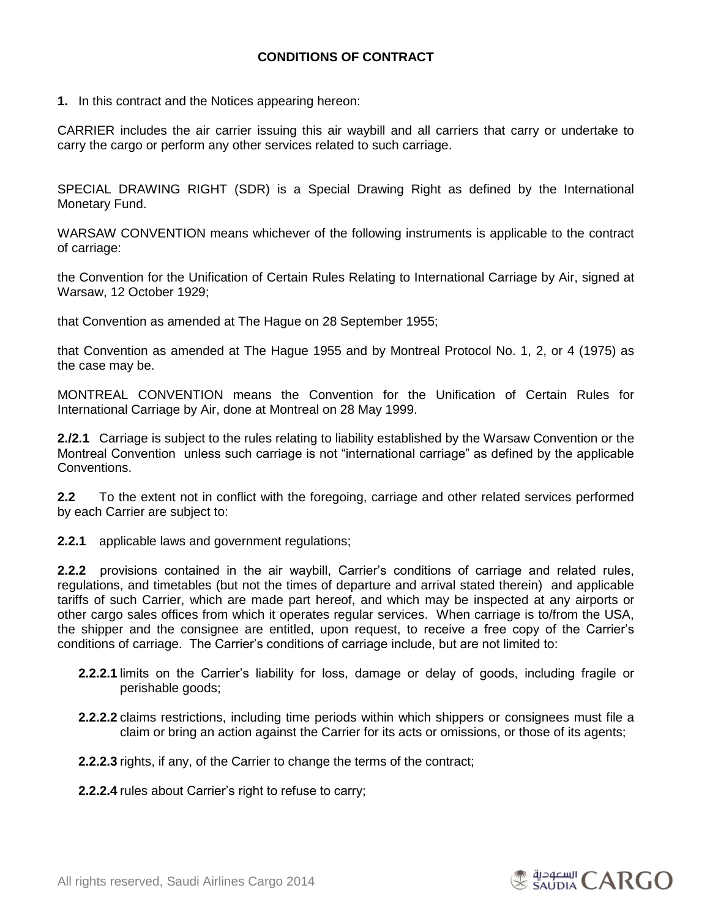## **CONDITIONS OF CONTRACT**

**1.** In this contract and the Notices appearing hereon:

CARRIER includes the air carrier issuing this air waybill and all carriers that carry or undertake to carry the cargo or perform any other services related to such carriage.

SPECIAL DRAWING RIGHT (SDR) is a Special Drawing Right as defined by the International Monetary Fund.

WARSAW CONVENTION means whichever of the following instruments is applicable to the contract of carriage:

the Convention for the Unification of Certain Rules Relating to International Carriage by Air, signed at Warsaw, 12 October 1929;

that Convention as amended at The Hague on 28 September 1955;

that Convention as amended at The Hague 1955 and by Montreal Protocol No. 1, 2, or 4 (1975) as the case may be.

MONTREAL CONVENTION means the Convention for the Unification of Certain Rules for International Carriage by Air, done at Montreal on 28 May 1999.

**2./2.1** Carriage is subject to the rules relating to liability established by the Warsaw Convention or the Montreal Convention unless such carriage is not "international carriage" as defined by the applicable Conventions.

**2.2** To the extent not in conflict with the foregoing, carriage and other related services performed by each Carrier are subject to:

**2.2.1** applicable laws and government regulations;

**2.2.2** provisions contained in the air waybill, Carrier's conditions of carriage and related rules, regulations, and timetables (but not the times of departure and arrival stated therein) and applicable tariffs of such Carrier, which are made part hereof, and which may be inspected at any airports or other cargo sales offices from which it operates regular services. When carriage is to/from the USA, the shipper and the consignee are entitled, upon request, to receive a free copy of the Carrier's conditions of carriage. The Carrier's conditions of carriage include, but are not limited to:

- **2.2.2.1** limits on the Carrier's liability for loss, damage or delay of goods, including fragile or perishable goods;
- **2.2.2.2** claims restrictions, including time periods within which shippers or consignees must file a claim or bring an action against the Carrier for its acts or omissions, or those of its agents;

**2.2.2.3** rights, if any, of the Carrier to change the terms of the contract;

**2.2.2.4** rules about Carrier's right to refuse to carry;

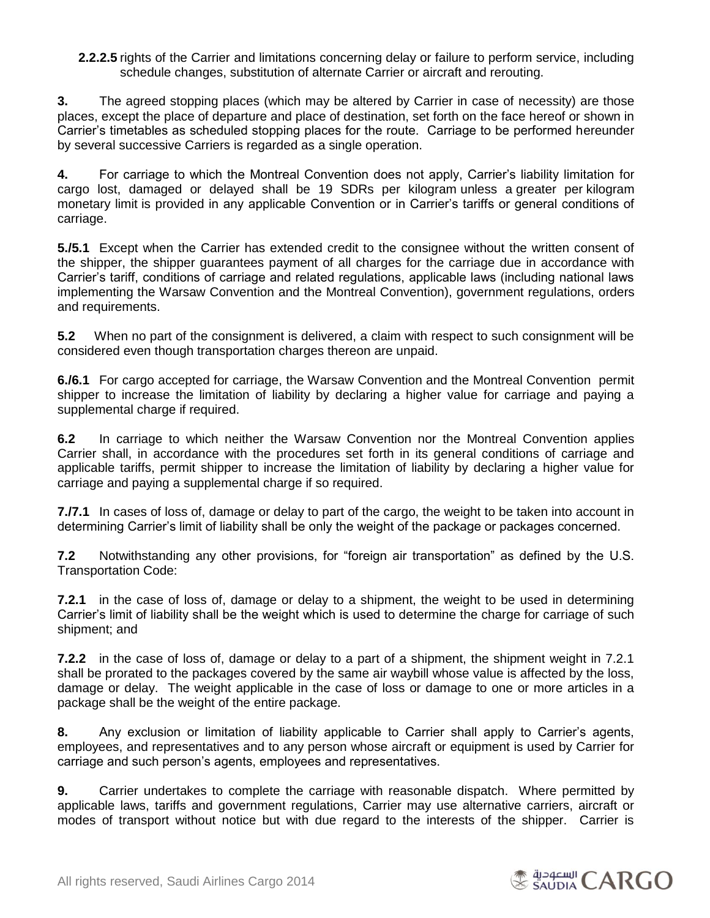**2.2.2.5** rights of the Carrier and limitations concerning delay or failure to perform service, including schedule changes, substitution of alternate Carrier or aircraft and rerouting.

**3.** The agreed stopping places (which may be altered by Carrier in case of necessity) are those places, except the place of departure and place of destination, set forth on the face hereof or shown in Carrier's timetables as scheduled stopping places for the route. Carriage to be performed hereunder by several successive Carriers is regarded as a single operation.

**4.** For carriage to which the Montreal Convention does not apply, Carrier's liability limitation for cargo lost, damaged or delayed shall be 19 SDRs per kilogram unless a greater per kilogram monetary limit is provided in any applicable Convention or in Carrier's tariffs or general conditions of carriage.

**5./5.1** Except when the Carrier has extended credit to the consignee without the written consent of the shipper, the shipper guarantees payment of all charges for the carriage due in accordance with Carrier's tariff, conditions of carriage and related regulations, applicable laws (including national laws implementing the Warsaw Convention and the Montreal Convention), government regulations, orders and requirements.

**5.2** When no part of the consignment is delivered, a claim with respect to such consignment will be considered even though transportation charges thereon are unpaid.

**6./6.1** For cargo accepted for carriage, the Warsaw Convention and the Montreal Convention permit shipper to increase the limitation of liability by declaring a higher value for carriage and paying a supplemental charge if required.

**6.2** In carriage to which neither the Warsaw Convention nor the Montreal Convention applies Carrier shall, in accordance with the procedures set forth in its general conditions of carriage and applicable tariffs, permit shipper to increase the limitation of liability by declaring a higher value for carriage and paying a supplemental charge if so required.

**7./7.1** In cases of loss of, damage or delay to part of the cargo, the weight to be taken into account in determining Carrier's limit of liability shall be only the weight of the package or packages concerned.

**7.2** Notwithstanding any other provisions, for "foreign air transportation" as defined by the U.S. Transportation Code:

**7.2.1** in the case of loss of, damage or delay to a shipment, the weight to be used in determining Carrier's limit of liability shall be the weight which is used to determine the charge for carriage of such shipment; and

**7.2.2** in the case of loss of, damage or delay to a part of a shipment, the shipment weight in 7.2.1 shall be prorated to the packages covered by the same air waybill whose value is affected by the loss, damage or delay. The weight applicable in the case of loss or damage to one or more articles in a package shall be the weight of the entire package.

**8.** Any exclusion or limitation of liability applicable to Carrier shall apply to Carrier's agents, employees, and representatives and to any person whose aircraft or equipment is used by Carrier for carriage and such person's agents, employees and representatives.

**9.** Carrier undertakes to complete the carriage with reasonable dispatch. Where permitted by applicable laws, tariffs and government regulations, Carrier may use alternative carriers, aircraft or modes of transport without notice but with due regard to the interests of the shipper. Carrier is